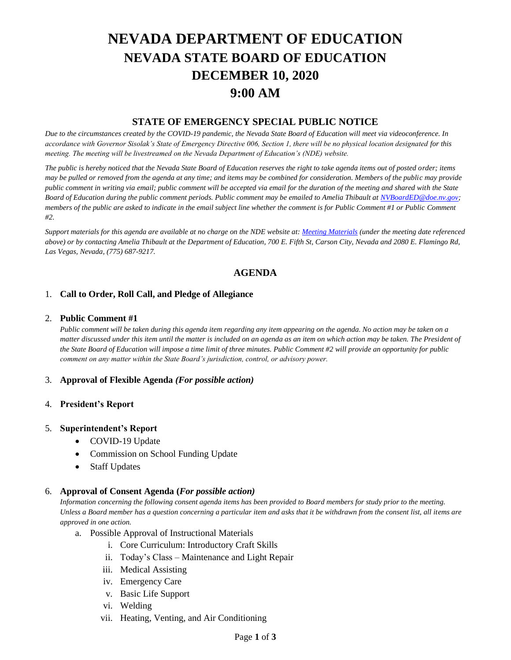# **NEVADA DEPARTMENT OF EDUCATION NEVADA STATE BOARD OF EDUCATION DECEMBER 10, 2020 9:00 AM**

## **STATE OF EMERGENCY SPECIAL PUBLIC NOTICE**

*Due to the circumstances created by the COVID-19 pandemic, the Nevada State Board of Education will meet via videoconference. In accordance with Governor Sisolak's State of Emergency Directive 006, Section 1, there will be no physical location designated for this meeting. The meeting will be livestreamed on the Nevada Department of Education's (NDE) website.* 

*The public is hereby noticed that the Nevada State Board of Education reserves the right to take agenda items out of posted order; items may be pulled or removed from the agenda at any time; and items may be combined for consideration. Members of the public may provide public comment in writing via email; public comment will be accepted via email for the duration of the meeting and shared with the State Board of Education during the public comment periods. Public comment may be emailed to Amelia Thibault at [NVBoardED@doe.nv.gov;](mailto:NVBoardED@doe.nv.gov) members of the public are asked to indicate in the email subject line whether the comment is for Public Comment #1 or Public Comment #2.* 

*Support materials for this agenda are available at no charge on the NDE website at[: Meeting Materials](http://www.doe.nv.gov/Boards_Commissions_Councils/State_Board_of_Education/Meeting_Materials/) (under the meeting date referenced above) or by contacting Amelia Thibault at the Department of Education, 700 E. Fifth St, Carson City, Nevada and 2080 E. Flamingo Rd, Las Vegas, Nevada, (775) 687-9217.*

# **AGENDA**

### 1. **Call to Order, Roll Call, and Pledge of Allegiance**

#### 2. **Public Comment #1**

*Public comment will be taken during this agenda item regarding any item appearing on the agenda. No action may be taken on a matter discussed under this item until the matter is included on an agenda as an item on which action may be taken. The President of the State Board of Education will impose a time limit of three minutes. Public Comment #2 will provide an opportunity for public comment on any matter within the State Board's jurisdiction, control, or advisory power.*

### 3. **Approval of Flexible Agenda** *(For possible action)*

### 4. **President's Report**

#### 5. **Superintendent's Report**

- COVID-19 Update
- Commission on School Funding Update
- Staff Updates

### 6. **Approval of Consent Agenda (***For possible action)*

*Information concerning the following consent agenda items has been provided to Board members for study prior to the meeting. Unless a Board member has a question concerning a particular item and asks that it be withdrawn from the consent list, all items are approved in one action.* 

- a. Possible Approval of Instructional Materials
	- i. Core Curriculum: Introductory Craft Skills
	- ii. Today's Class Maintenance and Light Repair
	- iii. Medical Assisting
	- iv. Emergency Care
	- v. Basic Life Support
	- vi. Welding
	- vii. Heating, Venting, and Air Conditioning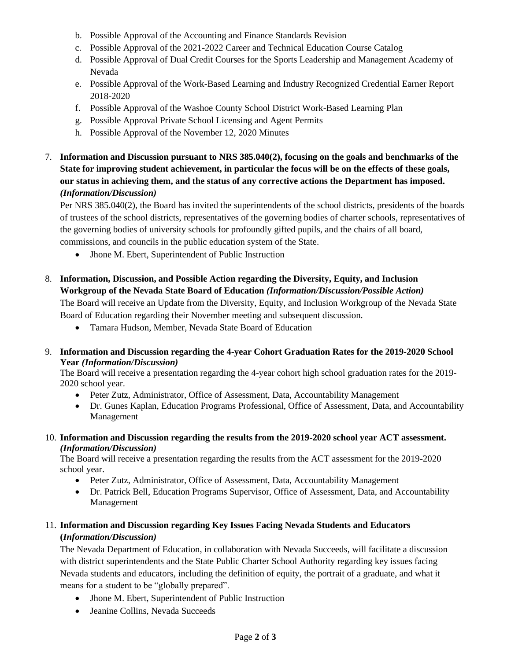- b. Possible Approval of the Accounting and Finance Standards Revision
- c. Possible Approval of the 2021-2022 Career and Technical Education Course Catalog
- d. Possible Approval of Dual Credit Courses for the Sports Leadership and Management Academy of Nevada
- e. Possible Approval of the Work-Based Learning and Industry Recognized Credential Earner Report 2018-2020
- f. Possible Approval of the Washoe County School District Work-Based Learning Plan
- g. Possible Approval Private School Licensing and Agent Permits
- h. Possible Approval of the November 12, 2020 Minutes
- 7. **Information and Discussion pursuant to NRS 385.040(2), focusing on the goals and benchmarks of the State for improving student achievement, in particular the focus will be on the effects of these goals, our status in achieving them, and the status of any corrective actions the Department has imposed.**  *(Information/Discussion)*

Per NRS 385.040(2), the Board has invited the superintendents of the school districts, presidents of the boards of trustees of the school districts, representatives of the governing bodies of charter schools, representatives of the governing bodies of university schools for profoundly gifted pupils, and the chairs of all board, commissions, and councils in the public education system of the State.

• Jhone M. Ebert, Superintendent of Public Instruction

# 8. **Information, Discussion, and Possible Action regarding the Diversity, Equity, and Inclusion Workgroup of the Nevada State Board of Education** *(Information/Discussion/Possible Action)*

The Board will receive an Update from the Diversity, Equity, and Inclusion Workgroup of the Nevada State Board of Education regarding their November meeting and subsequent discussion.

• Tamara Hudson, Member, Nevada State Board of Education

## 9. **Information and Discussion regarding the 4-year Cohort Graduation Rates for the 2019-2020 School Year** *(Information/Discussion)*

The Board will receive a presentation regarding the 4-year cohort high school graduation rates for the 2019- 2020 school year.

- Peter Zutz, Administrator, Office of Assessment, Data, Accountability Management
- Dr. Gunes Kaplan, Education Programs Professional, Office of Assessment, Data, and Accountability Management
- 10. **Information and Discussion regarding the results from the 2019-2020 school year ACT assessment.**  *(Information/Discussion)*

The Board will receive a presentation regarding the results from the ACT assessment for the 2019-2020 school year.

- Peter Zutz, Administrator, Office of Assessment, Data, Accountability Management
- Dr. Patrick Bell, Education Programs Supervisor, Office of Assessment, Data, and Accountability Management

# 11. **Information and Discussion regarding Key Issues Facing Nevada Students and Educators (***Information/Discussion)*

The Nevada Department of Education, in collaboration with Nevada Succeeds, will facilitate a discussion with district superintendents and the State Public Charter School Authority regarding key issues facing Nevada students and educators, including the definition of equity, the portrait of a graduate, and what it means for a student to be "globally prepared".

- Jhone M. Ebert, Superintendent of Public Instruction
- Jeanine Collins, Nevada Succeeds